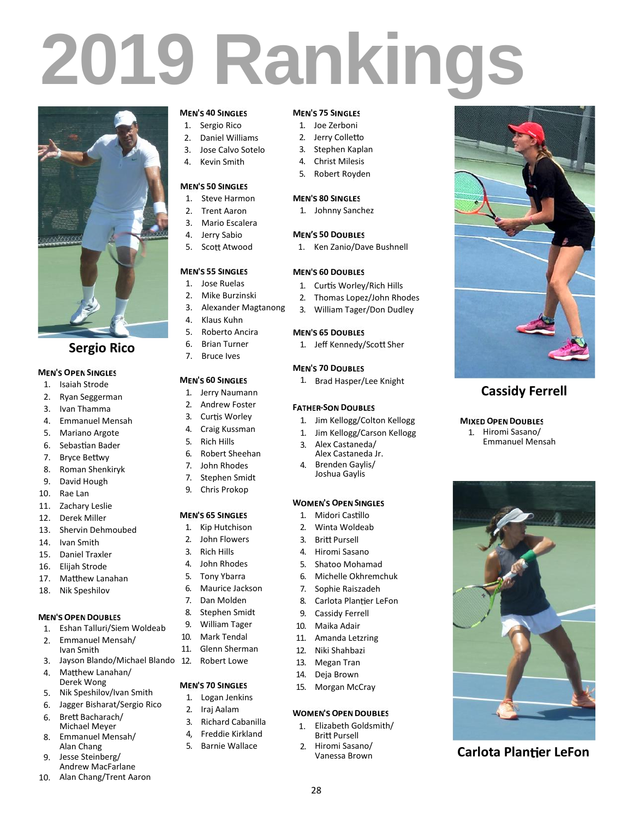# **2019 Rankings**



## **Sergio Rico**

### **MEN'S OPEN SINGLES**

- 1. Isaiah Strode
- 2. Ryan Seggerman
- 3. Ivan Thamma
- 4. Emmanuel Mensah
- 5. Mariano Argote
- 6. Sebastian Bader
- 7. Bryce Bettwy
- 8. Roman Shenkiryk
- 9. David Hough
- 10. Rae Lan
- 11. Zachary Leslie
- 12. Derek Miller
- 13. Shervin Dehmoubed
- 14. Ivan Smith
- 15. Daniel Traxler
- 16. Elijah Strode
- 17. Matthew Lanahan
- 18. Nik Speshilov

### **MEN'S OPEN DOUBLES**

- 1. Eshan Talluri/Siem Woldeab 9.<br>2. Emmanuel Manceb (10.
- 2. Emmanuel Mensah/
- Ivan Smith 3. Jayson Blando/Michael Blando
- 4. Matthew Lanahan/
- Derek Wong
- 5. Nik Speshilov/Ivan Smith
- 6. Jagger Bisharat/Sergio Rico
- 6. Brett Bacharach/ Michael Meyer
- 8. Emmanuel Mensah/ Alan Chang
- 9. Jesse Steinberg/ Andrew MacFarlane
- 10. Alan Chang/Trent Aaron

### **MEN'S 40 SINGLES**

- 1. Sergio Rico
- 2. Daniel Williams
- 3. Jose Calvo Sotelo
- 4. Kevin Smith

### **MEN'S 50 SINGLES**

- 1. Steve Harmon
- 2. Trent Aaron
- 3. Mario Escalera 4. Jerry Sabio
- 5. Scott Atwood

### **MEN'S 55 SINGLES**

- 1. Jose Ruelas
- 2. Mike Burzinski
- 3. Alexander Magtanong
- 4. Klaus Kuhn
- 5. Roberto Ancira
- 6. Brian Turner 7. Bruce Ives
- 
- **MEN'S 60 SINGLES**
- 1. Jerry Naumann
- 2. Andrew Foster
- 3. Curtis Worley
- 4. Craig Kussman
- 5. Rich Hills
- 6. Robert Sheehan
- 7. John Rhodes
- 7. Stephen Smidt
- 9. Chris Prokop

### **MEN'S 65 SINGLES**

- 1. Kip Hutchison
- 2. John Flowers 3. Rich Hills
- 
- 4. John Rhodes 5. Tony Ybarra
- 6. Maurice Jackson
- 7. Dan Molden
- 8. Stephen Smidt
- 9. William Tager
- Mark Tendal
- 11. Glenn Sherman
- Robert Lowe
- **MEN'S 70 SINGLES**
- 1. Logan Jenkins
	- 2. Iraj Aalam
	- 3. Richard Cabanilla
- 4, Freddie Kirkland
- 5. Barnie Wallace

### **MEN'S 75 SINGLES**

- 1. Joe Zerboni
- 2. Jerry Colletto
- 3. Stephen Kaplan
- 4. Christ Milesis
- 5. Robert Royden

### **MEN'S 80 SINGLES**

1. Johnny Sanchez

### **MEN'S 50 DOUBLES**

1. Ken Zanio/Dave Bushnell

### **MEN'S 60 DOUBLES**

- 1. Curtis Worley/Rich Hills
- 2. Thomas Lopez/John Rhodes
- 3. William Tager/Don Dudley

### **MEN'S 65 DOUBLES**

1. Jeff Kennedy/Scott Sher

### **MEN'S 70 DOUBLES**

1. Brad Hasper/Lee Knight

### **FATHER-SON DOUBLES**

**WOMEN'S OPEN SINGLES** 1. Midori Castillo 2. Winta Woldeab 3. Britt Pursell 4. Hiromi Sasano 5. Shatoo Mohamad 6. Michelle Okhremchuk 7. Sophie Raiszadeh 8. Carlota Plantier LeFon 9. Cassidy Ferrell 10. Maika Adair 11. Amanda Letzring 12. Niki Shahbazi 13. Megan Tran 14. Deja Brown 15. Morgan McCray

3. Alex Castaneda/ Alex Castaneda Jr. 4. Brenden Gaylis/ Joshua Gaylis

28

**WOMEN'S OPEN DOUBLES** 1. Elizabeth Goldsmith/ **Britt Pursell** 2. Hiromi Sasano/ Vanessa Brown

1. Jim Kellogg/Colton Kellogg 1. Jim Kellogg/Carson Kellogg **MIXED OPEN DOUBLES** 1. Hiromi Sasano/ Emmanuel Mensah

**Cassidy Ferrell**

**Carlota Plantier LeFon**